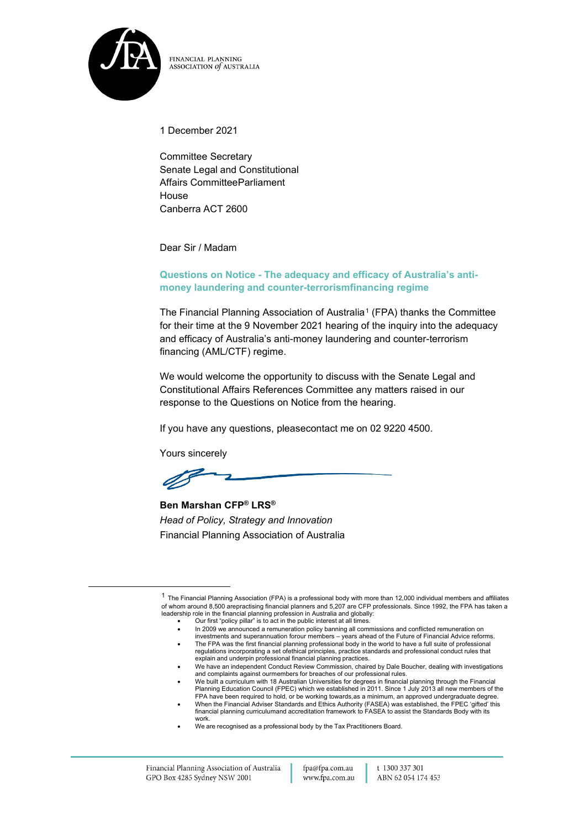

FINANCIAL PLANNING ASSOCIATION of AUSTRALIA

1 December 2021

Committee Secretary Senate Legal and Constitutional Affairs CommitteeParliament House Canberra ACT 2600

Dear Sir / Madam

#### **Questions on Notice - The adequacy and efficacy of Australia's antimoney laundering and counter-terrorismfinancing regime**

The Financial Planning Association of Australia<sup>[1](#page-0-0)</sup> (FPA) thanks the Committee for their time at the 9 November 2021 hearing of the inquiry into the adequacy and efficacy of Australia's anti-money laundering and counter-terrorism financing (AML/CTF) regime.

We would welcome the opportunity to discuss with the Senate Legal and Constitutional Affairs References Committee any matters raised in our response to the Questions on Notice from the hearing.

If you have any questions, pleasecontact me on 02 9220 4500.

Yours sincerely

**Ben Marshan CFP® LRS®** *Head of Policy, Strategy and Innovation* Financial Planning Association of Australia

<span id="page-0-0"></span> $1$  The Financial Planning Association (FPA) is a professional body with more than 12,000 individual members and affiliates of whom around 8,500 arepractising financial planners and 5,207 are CFP professionals. Since 1992, the FPA has taken a<br>leadership role in the financial planning profession in Australia and globally:<br>● Our first "p

<sup>•</sup> In 2009 we announced a remuneration policy banning all commissions and conflicted remuneration on investments and superannuation forour members – years ahead of the Future of Financial Advice reforms. • The FPA was the first financial planning professional body in the world to have a full suite of professional

regulations incorporating a set ofethical principles, practice standards and professional conduct rules that explain and underpin professional financial planning practices.

<sup>•</sup> We have an independent Conduct Review Commission, chaired by Dale Boucher, dealing with investigations and complaints against ourmembers for breaches of our professional rules.

<sup>•</sup> We built a curriculum with 18 Australian Universities for degrees in financial planning through the Financial Planning Education Council (FPEC) which we established in 2011. Since 1 July 2013 all new members of the FPA have been required to hold, or be working towards,as a minimum, an approved undergraduate degree.

<sup>•</sup> When the Financial Adviser Standards and Ethics Authority (FASEA) was established, the FPEC 'gifted' this financial planning curriculumand accreditation framework to FASEA to assist the Standards Body with its work.

<sup>•</sup> We are recognised as a professional body by the Tax Practitioners Board.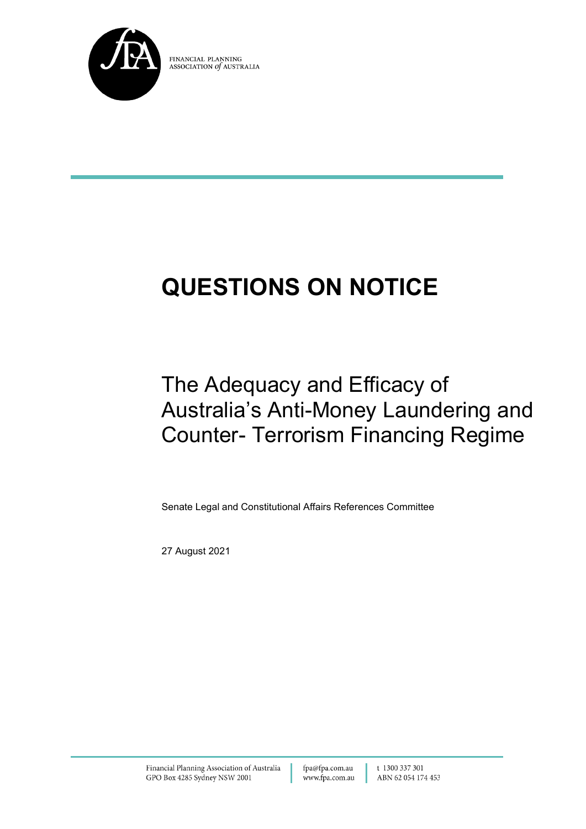

FINANCIAL PLANNING ASSOCIATION of AUSTRALIA

# **QUESTIONS ON NOTICE**

# The Adequacy and Efficacy of Australia's Anti-Money Laundering and Counter- Terrorism Financing Regime

Senate Legal and Constitutional Affairs References Committee

27 August 2021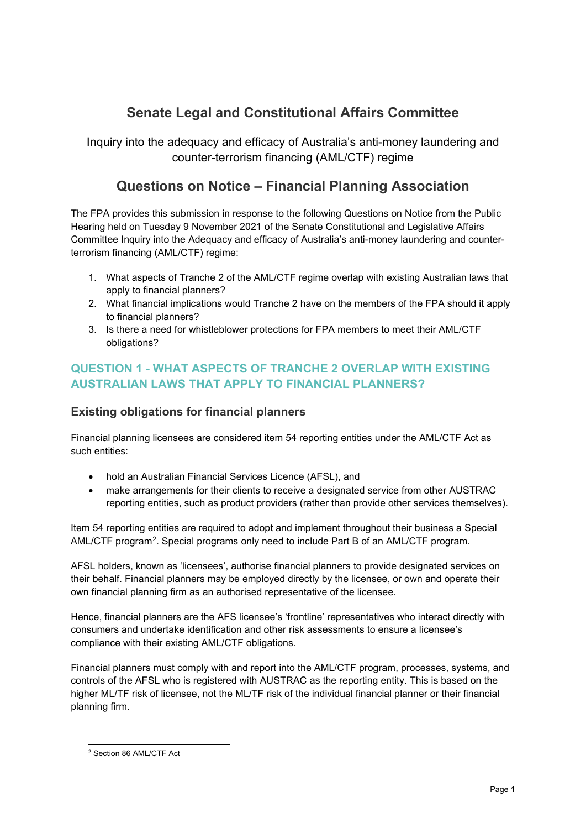## **Senate Legal and Constitutional Affairs Committee**

Inquiry into the adequacy and efficacy of Australia's anti-money laundering and counter-terrorism financing (AML/CTF) regime

### **Questions on Notice – Financial Planning Association**

The FPA provides this submission in response to the following Questions on Notice from the Public Hearing held on Tuesday 9 November 2021 of the Senate Constitutional and Legislative Affairs Committee Inquiry into the Adequacy and efficacy of Australia's anti-money laundering and counterterrorism financing (AML/CTF) regime:

- 1. What aspects of Tranche 2 of the AML/CTF regime overlap with existing Australian laws that apply to financial planners?
- 2. What financial implications would Tranche 2 have on the members of the FPA should it apply to financial planners?
- 3. Is there a need for whistleblower protections for FPA members to meet their AML/CTF obligations?

#### **QUESTION 1 - WHAT ASPECTS OF TRANCHE 2 OVERLAP WITH EXISTING AUSTRALIAN LAWS THAT APPLY TO FINANCIAL PLANNERS?**

#### **Existing obligations for financial planners**

Financial planning licensees are considered item 54 reporting entities under the AML/CTF Act as such entities:

- hold an Australian Financial Services Licence (AFSL), and
- make arrangements for their clients to receive a designated service from other AUSTRAC reporting entities, such as product providers (rather than provide other services themselves).

Item 54 reporting entities are required to adopt and implement throughout their business a Special AML/CTF program<sup>2</sup>. Special programs only need to include Part B of an AML/CTF program.

AFSL holders, known as 'licensees', authorise financial planners to provide designated services on their behalf. Financial planners may be employed directly by the licensee, or own and operate their own financial planning firm as an authorised representative of the licensee.

Hence, financial planners are the AFS licensee's 'frontline' representatives who interact directly with consumers and undertake identification and other risk assessments to ensure a licensee's compliance with their existing AML/CTF obligations.

Financial planners must comply with and report into the AML/CTF program, processes, systems, and controls of the AFSL who is registered with AUSTRAC as the reporting entity. This is based on the higher ML/TF risk of licensee, not the ML/TF risk of the individual financial planner or their financial planning firm.

<span id="page-2-0"></span><sup>2</sup> Section 86 AML/CTF Act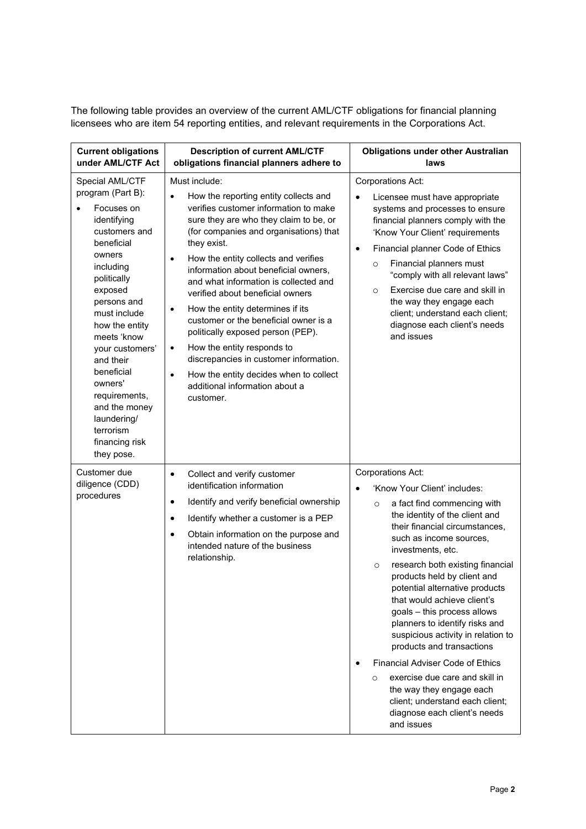The following table provides an overview of the current AML/CTF obligations for financial planning licensees who are item 54 reporting entities, and relevant requirements in the Corporations Act.

| <b>Current obligations</b><br>under AML/CTF Act                                                                                                                                                                                                                                                                                                                          | <b>Description of current AML/CTF</b><br>obligations financial planners adhere to                                                                                                                                                                                                                                                                                                                                                                                                                                                                                                                                                                                                                                   | <b>Obligations under other Australian</b><br>laws                                                                                                                                                                                                                                                                                                                                                                                                                                                                                                                                                                                                                                                                    |
|--------------------------------------------------------------------------------------------------------------------------------------------------------------------------------------------------------------------------------------------------------------------------------------------------------------------------------------------------------------------------|---------------------------------------------------------------------------------------------------------------------------------------------------------------------------------------------------------------------------------------------------------------------------------------------------------------------------------------------------------------------------------------------------------------------------------------------------------------------------------------------------------------------------------------------------------------------------------------------------------------------------------------------------------------------------------------------------------------------|----------------------------------------------------------------------------------------------------------------------------------------------------------------------------------------------------------------------------------------------------------------------------------------------------------------------------------------------------------------------------------------------------------------------------------------------------------------------------------------------------------------------------------------------------------------------------------------------------------------------------------------------------------------------------------------------------------------------|
| Special AML/CTF<br>program (Part B):<br>Focuses on<br>identifying<br>customers and<br>beneficial<br>owners<br>including<br>politically<br>exposed<br>persons and<br>must include<br>how the entity<br>meets 'know<br>your customers'<br>and their<br>beneficial<br>owners'<br>requirements,<br>and the money<br>laundering/<br>terrorism<br>financing risk<br>they pose. | Must include:<br>How the reporting entity collects and<br>$\bullet$<br>verifies customer information to make<br>sure they are who they claim to be, or<br>(for companies and organisations) that<br>they exist.<br>How the entity collects and verifies<br>$\bullet$<br>information about beneficial owners,<br>and what information is collected and<br>verified about beneficial owners<br>How the entity determines if its<br>$\bullet$<br>customer or the beneficial owner is a<br>politically exposed person (PEP).<br>How the entity responds to<br>$\bullet$<br>discrepancies in customer information.<br>How the entity decides when to collect<br>$\bullet$<br>additional information about a<br>customer. | <b>Corporations Act:</b><br>Licensee must have appropriate<br>systems and processes to ensure<br>financial planners comply with the<br>'Know Your Client' requirements<br>Financial planner Code of Ethics<br>$\bullet$<br>Financial planners must<br>$\circ$<br>"comply with all relevant laws"<br>Exercise due care and skill in<br>$\circ$<br>the way they engage each<br>client; understand each client;<br>diagnose each client's needs<br>and issues                                                                                                                                                                                                                                                           |
| Customer due<br>diligence (CDD)<br>procedures                                                                                                                                                                                                                                                                                                                            | Collect and verify customer<br>$\bullet$<br>identification information<br>Identify and verify beneficial ownership<br>$\bullet$<br>Identify whether a customer is a PEP<br>$\bullet$<br>Obtain information on the purpose and<br>$\bullet$<br>intended nature of the business<br>relationship.                                                                                                                                                                                                                                                                                                                                                                                                                      | <b>Corporations Act:</b><br>'Know Your Client' includes:<br>$\bullet$<br>a fact find commencing with<br>$\circ$<br>the identity of the client and<br>their financial circumstances,<br>such as income sources,<br>investments, etc.<br>research both existing financial<br>$\circ$<br>products held by client and<br>potential alternative products<br>that would achieve client's<br>goals - this process allows<br>planners to identify risks and<br>suspicious activity in relation to<br>products and transactions<br>Financial Adviser Code of Ethics<br>exercise due care and skill in<br>$\circ$<br>the way they engage each<br>client; understand each client;<br>diagnose each client's needs<br>and issues |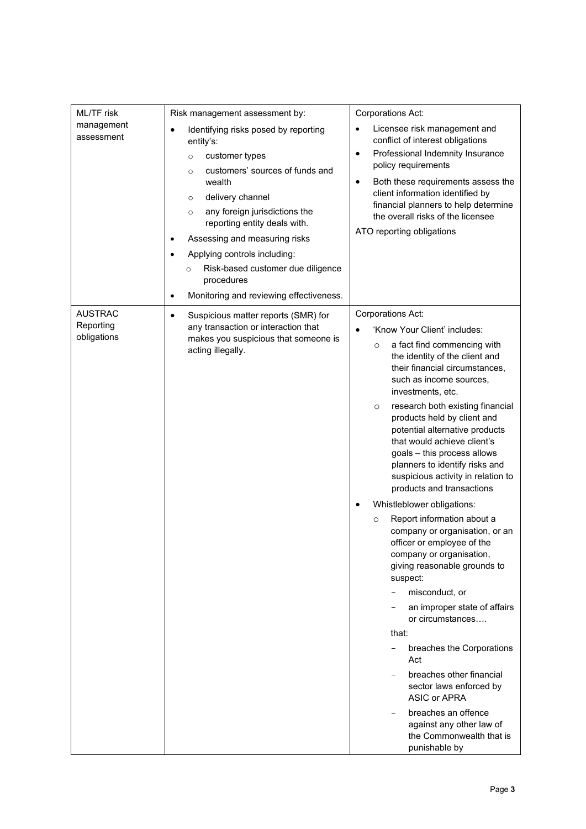| ML/TF risk                                 | Risk management assessment by:                                                                                                                                                                                                                                                                                                                                                                     | Corporations Act:                                                                                                                                                                                                                                                                                                                                                                                                                                                                                                                                                                                                                                                                                                                                                                                                                                                                                                                                                                                                  |
|--------------------------------------------|----------------------------------------------------------------------------------------------------------------------------------------------------------------------------------------------------------------------------------------------------------------------------------------------------------------------------------------------------------------------------------------------------|--------------------------------------------------------------------------------------------------------------------------------------------------------------------------------------------------------------------------------------------------------------------------------------------------------------------------------------------------------------------------------------------------------------------------------------------------------------------------------------------------------------------------------------------------------------------------------------------------------------------------------------------------------------------------------------------------------------------------------------------------------------------------------------------------------------------------------------------------------------------------------------------------------------------------------------------------------------------------------------------------------------------|
| management<br>assessment                   | Identifying risks posed by reporting<br>$\bullet$<br>entity's:<br>customer types<br>$\circ$<br>customers' sources of funds and<br>$\circ$<br>wealth<br>delivery channel<br>$\circ$<br>any foreign jurisdictions the<br>$\circ$<br>reporting entity deals with.<br>Assessing and measuring risks<br>٠<br>Applying controls including:<br>Risk-based customer due diligence<br>$\circ$<br>procedures | Licensee risk management and<br>$\bullet$<br>conflict of interest obligations<br>Professional Indemnity Insurance<br>$\bullet$<br>policy requirements<br>Both these requirements assess the<br>$\bullet$<br>client information identified by<br>financial planners to help determine<br>the overall risks of the licensee<br>ATO reporting obligations                                                                                                                                                                                                                                                                                                                                                                                                                                                                                                                                                                                                                                                             |
|                                            | Monitoring and reviewing effectiveness.<br>$\bullet$                                                                                                                                                                                                                                                                                                                                               |                                                                                                                                                                                                                                                                                                                                                                                                                                                                                                                                                                                                                                                                                                                                                                                                                                                                                                                                                                                                                    |
| <b>AUSTRAC</b><br>Reporting<br>obligations | Suspicious matter reports (SMR) for<br>٠<br>any transaction or interaction that<br>makes you suspicious that someone is<br>acting illegally.                                                                                                                                                                                                                                                       | Corporations Act:<br>'Know Your Client' includes:<br>a fact find commencing with<br>$\circ$<br>the identity of the client and<br>their financial circumstances,<br>such as income sources,<br>investments, etc.<br>research both existing financial<br>$\circ$<br>products held by client and<br>potential alternative products<br>that would achieve client's<br>goals - this process allows<br>planners to identify risks and<br>suspicious activity in relation to<br>products and transactions<br>Whistleblower obligations:<br>Report information about a<br>$\circ$<br>company or organisation, or an<br>officer or employee of the<br>company or organisation,<br>giving reasonable grounds to<br>suspect:<br>misconduct, or<br>an improper state of affairs<br>or circumstances<br>that:<br>breaches the Corporations<br>Act<br>breaches other financial<br>sector laws enforced by<br><b>ASIC or APRA</b><br>breaches an offence<br>against any other law of<br>the Commonwealth that is<br>punishable by |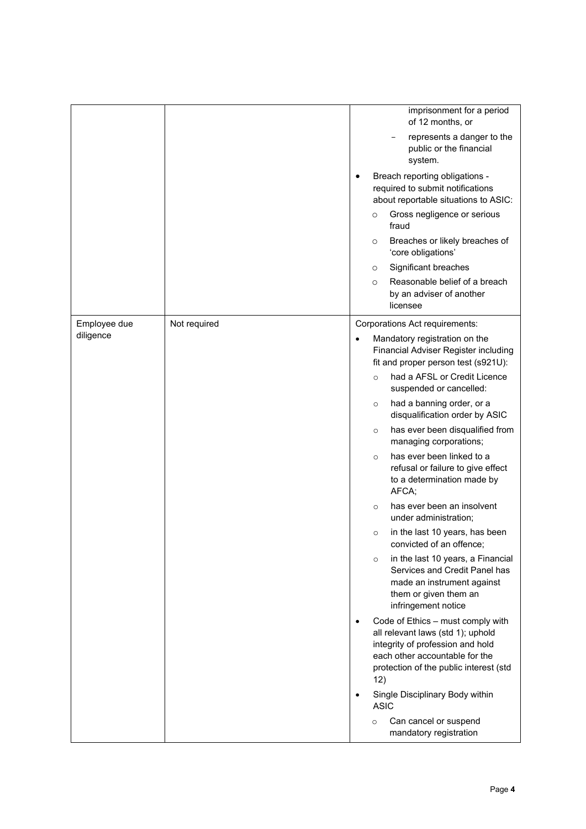|              |              |           | imprisonment for a period<br>of 12 months, or                                                                                                                                                 |
|--------------|--------------|-----------|-----------------------------------------------------------------------------------------------------------------------------------------------------------------------------------------------|
|              |              |           | represents a danger to the<br>public or the financial<br>system.                                                                                                                              |
|              |              |           | Breach reporting obligations -<br>required to submit notifications<br>about reportable situations to ASIC:                                                                                    |
|              |              |           | Gross negligence or serious<br>$\circ$<br>fraud                                                                                                                                               |
|              |              |           | Breaches or likely breaches of<br>$\circ$<br>'core obligations'                                                                                                                               |
|              |              |           | Significant breaches<br>$\circ$                                                                                                                                                               |
|              |              |           | Reasonable belief of a breach<br>$\circ$<br>by an adviser of another<br>licensee                                                                                                              |
| Employee due | Not required |           | Corporations Act requirements:                                                                                                                                                                |
| diligence    |              | $\bullet$ | Mandatory registration on the<br>Financial Adviser Register including<br>fit and proper person test (s921U):<br>had a AFSL or Credit Licence<br>$\circ$                                       |
|              |              |           | suspended or cancelled:                                                                                                                                                                       |
|              |              |           | had a banning order, or a<br>$\circ$<br>disqualification order by ASIC                                                                                                                        |
|              |              |           | has ever been disqualified from<br>$\circ$<br>managing corporations;                                                                                                                          |
|              |              |           | has ever been linked to a<br>$\circ$<br>refusal or failure to give effect<br>to a determination made by<br>AFCA:                                                                              |
|              |              |           | has ever been an insolvent<br>$\circ$<br>under administration;                                                                                                                                |
|              |              |           | in the last 10 years, has been<br>$\circ$<br>convicted of an offence;                                                                                                                         |
|              |              |           | in the last 10 years, a Financial<br>$\circ$<br>Services and Credit Panel has<br>made an instrument against<br>them or given them an<br>infringement notice                                   |
|              |              | $\bullet$ | Code of Ethics - must comply with<br>all relevant laws (std 1); uphold<br>integrity of profession and hold<br>each other accountable for the<br>protection of the public interest (std<br>12) |
|              |              |           | Single Disciplinary Body within<br><b>ASIC</b>                                                                                                                                                |
|              |              |           | Can cancel or suspend<br>$\circ$<br>mandatory registration                                                                                                                                    |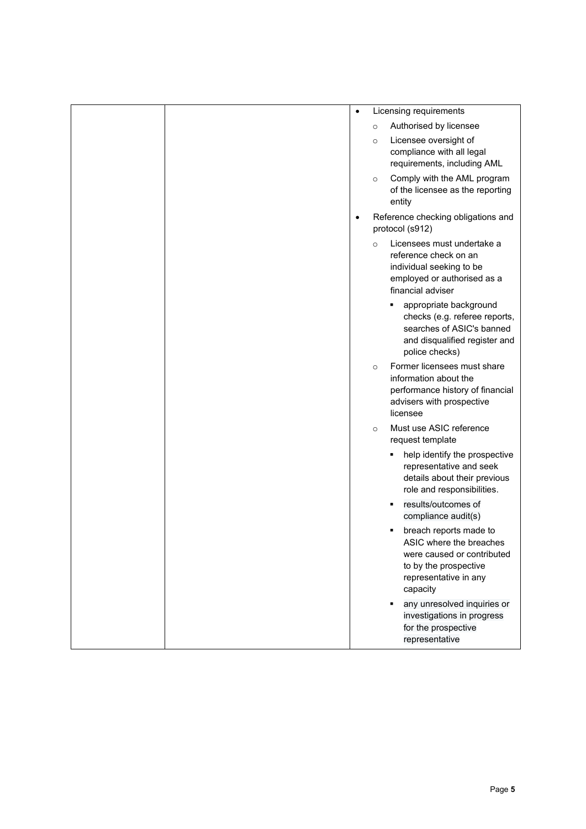| $\bullet$ |         | Licensing requirements                                                                                                                        |
|-----------|---------|-----------------------------------------------------------------------------------------------------------------------------------------------|
|           | $\circ$ | Authorised by licensee                                                                                                                        |
|           | $\circ$ | Licensee oversight of<br>compliance with all legal<br>requirements, including AML                                                             |
|           | $\circ$ | Comply with the AML program<br>of the licensee as the reporting<br>entity                                                                     |
|           |         | Reference checking obligations and<br>protocol (s912)                                                                                         |
|           | $\circ$ | Licensees must undertake a<br>reference check on an<br>individual seeking to be<br>employed or authorised as a<br>financial adviser           |
|           |         | appropriate background<br>checks (e.g. referee reports,<br>searches of ASIC's banned<br>and disqualified register and<br>police checks)       |
|           | $\circ$ | Former licensees must share<br>information about the<br>performance history of financial<br>advisers with prospective<br>licensee             |
|           | $\circ$ | Must use ASIC reference<br>request template                                                                                                   |
|           |         | help identify the prospective<br>representative and seek<br>details about their previous<br>role and responsibilities.                        |
|           |         | results/outcomes of<br>٠<br>compliance audit(s)                                                                                               |
|           |         | breach reports made to<br>ASIC where the breaches<br>were caused or contributed<br>to by the prospective<br>representative in any<br>capacity |
|           |         | any unresolved inquiries or<br>investigations in progress<br>for the prospective<br>representative                                            |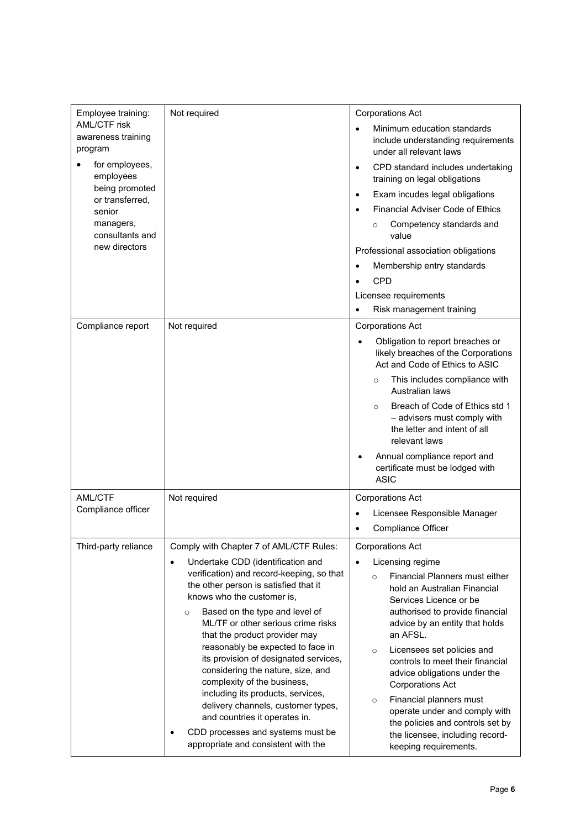| Employee training:                                   | Not required                                                                                                                                                                                                                                                                                                                                                                                                 | <b>Corporations Act</b>                                                                                                              |
|------------------------------------------------------|--------------------------------------------------------------------------------------------------------------------------------------------------------------------------------------------------------------------------------------------------------------------------------------------------------------------------------------------------------------------------------------------------------------|--------------------------------------------------------------------------------------------------------------------------------------|
| <b>AML/CTF risk</b><br>awareness training<br>program |                                                                                                                                                                                                                                                                                                                                                                                                              | Minimum education standards<br>$\bullet$<br>include understanding requirements<br>under all relevant laws                            |
| for employees,<br>employees                          |                                                                                                                                                                                                                                                                                                                                                                                                              | CPD standard includes undertaking<br>$\bullet$<br>training on legal obligations                                                      |
| being promoted<br>or transferred,                    |                                                                                                                                                                                                                                                                                                                                                                                                              | Exam incudes legal obligations<br>$\bullet$                                                                                          |
| senior                                               |                                                                                                                                                                                                                                                                                                                                                                                                              | <b>Financial Adviser Code of Ethics</b>                                                                                              |
| managers,<br>consultants and                         |                                                                                                                                                                                                                                                                                                                                                                                                              | Competency standards and<br>$\circ$<br>value                                                                                         |
| new directors                                        |                                                                                                                                                                                                                                                                                                                                                                                                              | Professional association obligations                                                                                                 |
|                                                      |                                                                                                                                                                                                                                                                                                                                                                                                              | Membership entry standards                                                                                                           |
|                                                      |                                                                                                                                                                                                                                                                                                                                                                                                              | CPD                                                                                                                                  |
|                                                      |                                                                                                                                                                                                                                                                                                                                                                                                              | Licensee requirements                                                                                                                |
|                                                      |                                                                                                                                                                                                                                                                                                                                                                                                              | Risk management training                                                                                                             |
| Compliance report                                    | Not required                                                                                                                                                                                                                                                                                                                                                                                                 | <b>Corporations Act</b>                                                                                                              |
|                                                      |                                                                                                                                                                                                                                                                                                                                                                                                              | Obligation to report breaches or<br>likely breaches of the Corporations<br>Act and Code of Ethics to ASIC                            |
|                                                      |                                                                                                                                                                                                                                                                                                                                                                                                              | This includes compliance with<br>$\circ$<br>Australian laws                                                                          |
|                                                      |                                                                                                                                                                                                                                                                                                                                                                                                              | Breach of Code of Ethics std 1<br>$\circ$<br>- advisers must comply with<br>the letter and intent of all<br>relevant laws            |
|                                                      |                                                                                                                                                                                                                                                                                                                                                                                                              | Annual compliance report and<br>certificate must be lodged with<br><b>ASIC</b>                                                       |
| <b>AML/CTF</b>                                       | Not required                                                                                                                                                                                                                                                                                                                                                                                                 | <b>Corporations Act</b>                                                                                                              |
| Compliance officer                                   |                                                                                                                                                                                                                                                                                                                                                                                                              | Licensee Responsible Manager                                                                                                         |
|                                                      |                                                                                                                                                                                                                                                                                                                                                                                                              | Compliance Officer                                                                                                                   |
| Third-party reliance                                 | Comply with Chapter 7 of AML/CTF Rules:                                                                                                                                                                                                                                                                                                                                                                      | <b>Corporations Act</b>                                                                                                              |
|                                                      | Undertake CDD (identification and<br>$\bullet$                                                                                                                                                                                                                                                                                                                                                               | Licensing regime<br>$\bullet$                                                                                                        |
|                                                      | verification) and record-keeping, so that                                                                                                                                                                                                                                                                                                                                                                    | Financial Planners must either<br>$\circ$                                                                                            |
|                                                      | the other person is satisfied that it                                                                                                                                                                                                                                                                                                                                                                        | hold an Australian Financial                                                                                                         |
|                                                      | knows who the customer is,<br>Based on the type and level of<br>$\circ$<br>ML/TF or other serious crime risks<br>that the product provider may<br>reasonably be expected to face in<br>its provision of designated services,<br>considering the nature, size, and<br>complexity of the business,<br>including its products, services,<br>delivery channels, customer types,<br>and countries it operates in. | Services Licence or be<br>authorised to provide financial<br>advice by an entity that holds<br>an AFSL.                              |
|                                                      |                                                                                                                                                                                                                                                                                                                                                                                                              | Licensees set policies and<br>$\circ$<br>controls to meet their financial<br>advice obligations under the<br><b>Corporations Act</b> |
|                                                      |                                                                                                                                                                                                                                                                                                                                                                                                              | Financial planners must<br>$\circ$<br>operate under and comply with<br>the policies and controls set by                              |
|                                                      | CDD processes and systems must be<br>$\bullet$<br>appropriate and consistent with the                                                                                                                                                                                                                                                                                                                        | the licensee, including record-<br>keeping requirements.                                                                             |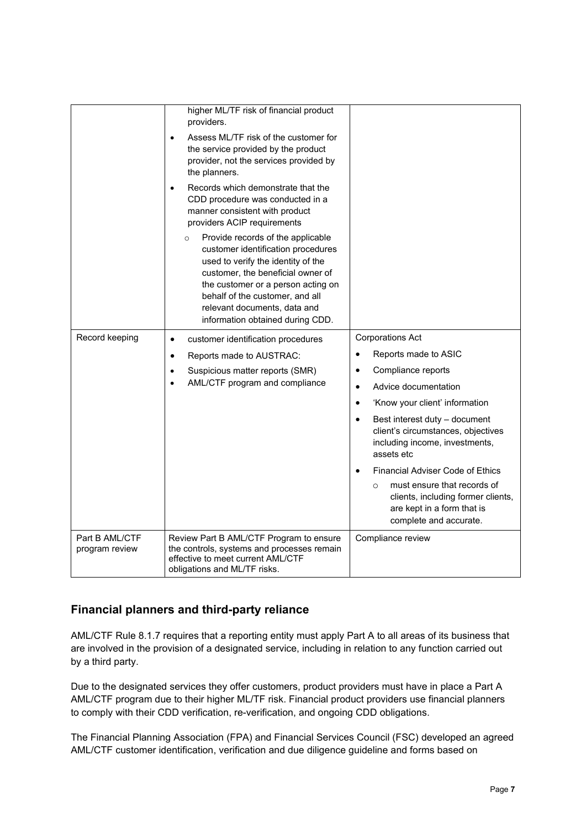|                                  | higher ML/TF risk of financial product<br>providers.<br>Assess ML/TF risk of the customer for<br>$\bullet$<br>the service provided by the product<br>provider, not the services provided by<br>the planners.<br>Records which demonstrate that the<br>CDD procedure was conducted in a<br>manner consistent with product<br>providers ACIP requirements<br>Provide records of the applicable<br>$\circ$<br>customer identification procedures<br>used to verify the identity of the<br>customer, the beneficial owner of |                                                                                                                                                                                                                                                                                                                                                                                                                                                                                               |
|----------------------------------|--------------------------------------------------------------------------------------------------------------------------------------------------------------------------------------------------------------------------------------------------------------------------------------------------------------------------------------------------------------------------------------------------------------------------------------------------------------------------------------------------------------------------|-----------------------------------------------------------------------------------------------------------------------------------------------------------------------------------------------------------------------------------------------------------------------------------------------------------------------------------------------------------------------------------------------------------------------------------------------------------------------------------------------|
|                                  | the customer or a person acting on<br>behalf of the customer, and all<br>relevant documents, data and<br>information obtained during CDD.                                                                                                                                                                                                                                                                                                                                                                                |                                                                                                                                                                                                                                                                                                                                                                                                                                                                                               |
| Record keeping                   | customer identification procedures<br>$\bullet$<br>Reports made to AUSTRAC:<br>$\bullet$<br>Suspicious matter reports (SMR)<br>٠<br>AML/CTF program and compliance<br>$\bullet$                                                                                                                                                                                                                                                                                                                                          | <b>Corporations Act</b><br>Reports made to ASIC<br>Compliance reports<br>$\bullet$<br>Advice documentation<br>$\bullet$<br>'Know your client' information<br>$\bullet$<br>Best interest duty - document<br>$\bullet$<br>client's circumstances, objectives<br>including income, investments,<br>assets etc<br><b>Financial Adviser Code of Ethics</b><br>must ensure that records of<br>$\circ$<br>clients, including former clients,<br>are kept in a form that is<br>complete and accurate. |
| Part B AML/CTF<br>program review | Review Part B AML/CTF Program to ensure<br>the controls, systems and processes remain<br>effective to meet current AML/CTF<br>obligations and ML/TF risks.                                                                                                                                                                                                                                                                                                                                                               | Compliance review                                                                                                                                                                                                                                                                                                                                                                                                                                                                             |

#### **Financial planners and third-party reliance**

AML/CTF Rule 8.1.7 requires that a reporting entity must apply Part A to all areas of its business that are involved in the provision of a designated service, including in relation to any function carried out by a third party.

Due to the designated services they offer customers, product providers must have in place a Part A AML/CTF program due to their higher ML/TF risk. Financial product providers use financial planners to comply with their CDD verification, re-verification, and ongoing CDD obligations.

The Financial Planning Association (FPA) and Financial Services Council (FSC) developed an agreed AML/CTF customer identification, verification and due diligence guideline and forms based on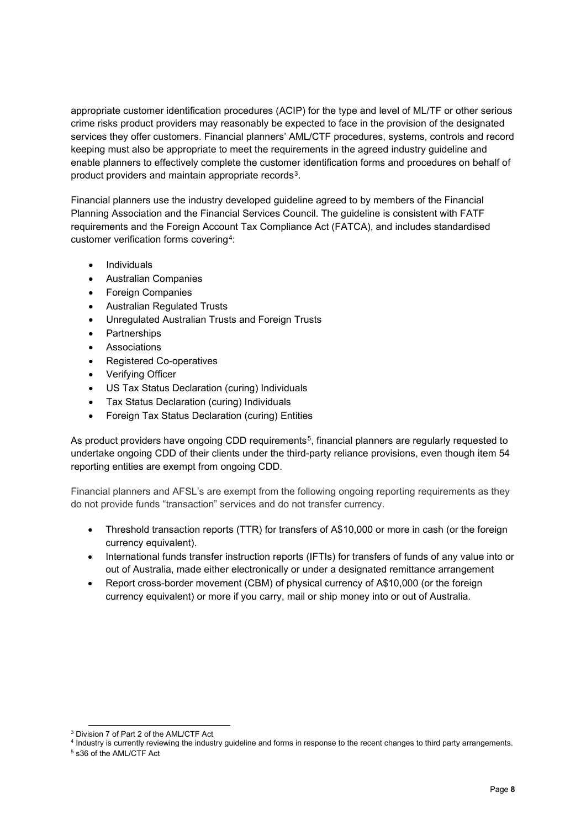appropriate customer identification procedures (ACIP) for the type and level of ML/TF or other serious crime risks product providers may reasonably be expected to face in the provision of the designated services they offer customers. Financial planners' AML/CTF procedures, systems, controls and record keeping must also be appropriate to meet the requirements in the agreed industry guideline and enable planners to effectively complete the customer identification forms and procedures on behalf of product providers and maintain appropriate records<sup>3</sup>.

Financial planners use the industry developed guideline agreed to by members of the Financial Planning Association and the Financial Services Council. The guideline is consistent with FATF requirements and the Foreign Account Tax Compliance Act (FATCA), and includes standardised customer verification forms covering[4](#page-9-1):

- **Individuals**
- Australian Companies
- Foreign Companies
- Australian Regulated Trusts
- Unregulated Australian Trusts and Foreign Trusts
- Partnerships
- Associations
- Registered Co-operatives
- Verifying Officer
- US Tax Status Declaration (curing) Individuals
- Tax Status Declaration (curing) Individuals
- Foreign Tax Status Declaration (curing) Entities

As product providers have ongoing CDD requirements<sup>[5](#page-9-2)</sup>, financial planners are reqularly requested to undertake ongoing CDD of their clients under the third-party reliance provisions, even though item 54 reporting entities are exempt from ongoing CDD.

Financial planners and AFSL's are exempt from the following ongoing reporting requirements as they do not provide funds "transaction" services and do not transfer currency.

- Threshold transaction reports (TTR) for transfers of A\$10,000 or more in cash (or the foreign currency equivalent).
- International funds transfer instruction reports (IFTIs) for transfers of funds of any value into or out of Australia, made either electronically or under a designated remittance arrangement
- Report cross-border movement (CBM) of physical currency of A\$10,000 (or the foreign currency equivalent) or more if you carry, mail or ship money into or out of Australia.

<span id="page-9-0"></span><sup>3</sup> Division 7 of Part 2 of the AML/CTF Act

<span id="page-9-1"></span><sup>4</sup> Industry is currently reviewing the industry guideline and forms in response to the recent changes to third party arrangements.

<span id="page-9-2"></span><sup>5</sup> s36 of the AML/CTF Act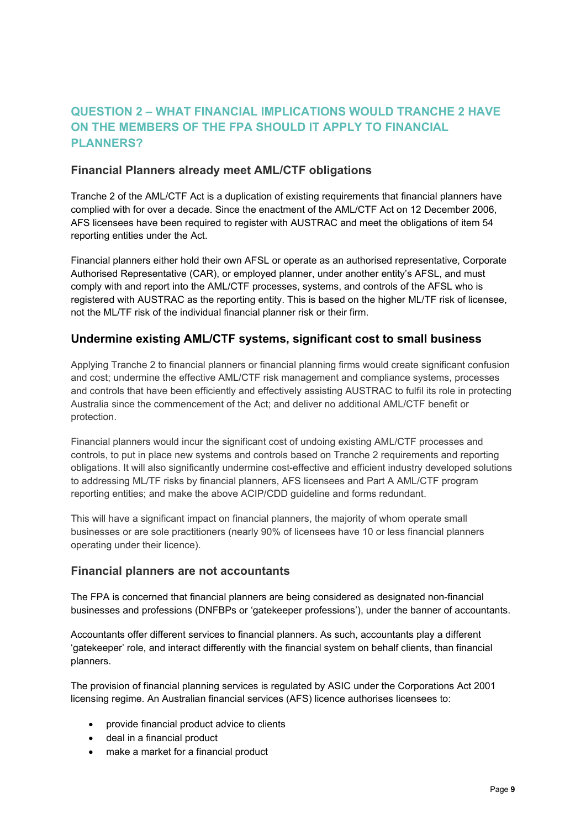#### **QUESTION 2 – WHAT FINANCIAL IMPLICATIONS WOULD TRANCHE 2 HAVE ON THE MEMBERS OF THE FPA SHOULD IT APPLY TO FINANCIAL PLANNERS?**

#### **Financial Planners already meet AML/CTF obligations**

Tranche 2 of the AML/CTF Act is a duplication of existing requirements that financial planners have complied with for over a decade. Since the enactment of the AML/CTF Act on 12 December 2006, AFS licensees have been required to register with AUSTRAC and meet the obligations of item 54 reporting entities under the Act.

Financial planners either hold their own AFSL or operate as an authorised representative, Corporate Authorised Representative (CAR), or employed planner, under another entity's AFSL, and must comply with and report into the AML/CTF processes, systems, and controls of the AFSL who is registered with AUSTRAC as the reporting entity. This is based on the higher ML/TF risk of licensee, not the ML/TF risk of the individual financial planner risk or their firm.

#### **Undermine existing AML/CTF systems, significant cost to small business**

Applying Tranche 2 to financial planners or financial planning firms would create significant confusion and cost; undermine the effective AML/CTF risk management and compliance systems, processes and controls that have been efficiently and effectively assisting AUSTRAC to fulfil its role in protecting Australia since the commencement of the Act; and deliver no additional AML/CTF benefit or protection.

Financial planners would incur the significant cost of undoing existing AML/CTF processes and controls, to put in place new systems and controls based on Tranche 2 requirements and reporting obligations. It will also significantly undermine cost-effective and efficient industry developed solutions to addressing ML/TF risks by financial planners, AFS licensees and Part A AML/CTF program reporting entities; and make the above ACIP/CDD guideline and forms redundant.

This will have a significant impact on financial planners, the majority of whom operate small businesses or are sole practitioners (nearly 90% of licensees have 10 or less financial planners operating under their licence).

#### **Financial planners are not accountants**

The FPA is concerned that financial planners are being considered as designated non-financial businesses and professions (DNFBPs or 'gatekeeper professions'), under the banner of accountants.

Accountants offer different services to financial planners. As such, accountants play a different 'gatekeeper' role, and interact differently with the financial system on behalf clients, than financial planners.

The provision of financial planning services is regulated by ASIC under the Corporations Act 2001 licensing regime. An Australian financial services (AFS) licence authorises licensees to:

- provide financial product advice to clients
- deal in a financial product
- make a market for a financial product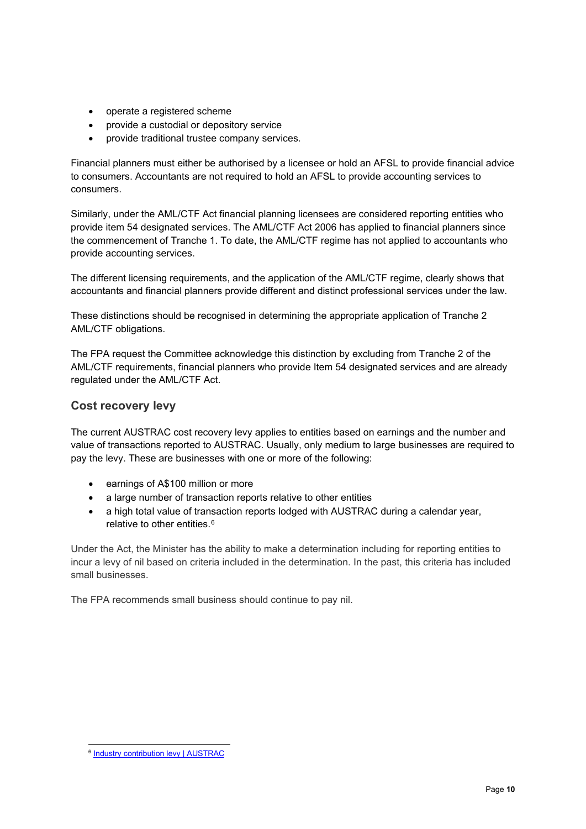- operate a registered scheme
- provide a custodial or depository service
- provide traditional trustee company services.

Financial planners must either be authorised by a licensee or hold an AFSL to provide financial advice to consumers. Accountants are not required to hold an AFSL to provide accounting services to consumers.

Similarly, under the AML/CTF Act financial planning licensees are considered reporting entities who provide item 54 designated services. The AML/CTF Act 2006 has applied to financial planners since the commencement of Tranche 1. To date, the AML/CTF regime has not applied to accountants who provide accounting services.

The different licensing requirements, and the application of the AML/CTF regime, clearly shows that accountants and financial planners provide different and distinct professional services under the law.

These distinctions should be recognised in determining the appropriate application of Tranche 2 AML/CTF obligations.

The FPA request the Committee acknowledge this distinction by excluding from Tranche 2 of the AML/CTF requirements, financial planners who provide Item 54 designated services and are already regulated under the AML/CTF Act.

#### **Cost recovery levy**

The current AUSTRAC cost recovery levy applies to entities based on earnings and the number and value of transactions reported to AUSTRAC. Usually, only medium to large businesses are required to pay the levy. These are businesses with one or more of the following:

- earnings of A\$100 million or more
- a large number of transaction reports relative to other entities
- a high total value of transaction reports lodged with AUSTRAC during a calendar year, relative to other entities.[6](#page-11-0)

Under the Act, the Minister has the ability to make a determination including for reporting entities to incur a levy of nil based on criteria included in the determination. In the past, this criteria has included small businesses.

The FPA recommends small business should continue to pay nil.

<span id="page-11-0"></span><sup>6</sup> [Industry contribution levy | AUSTRAC](https://www.austrac.gov.au/business/how-comply-and-report-guidance-and-resources/industry-contribution-levy)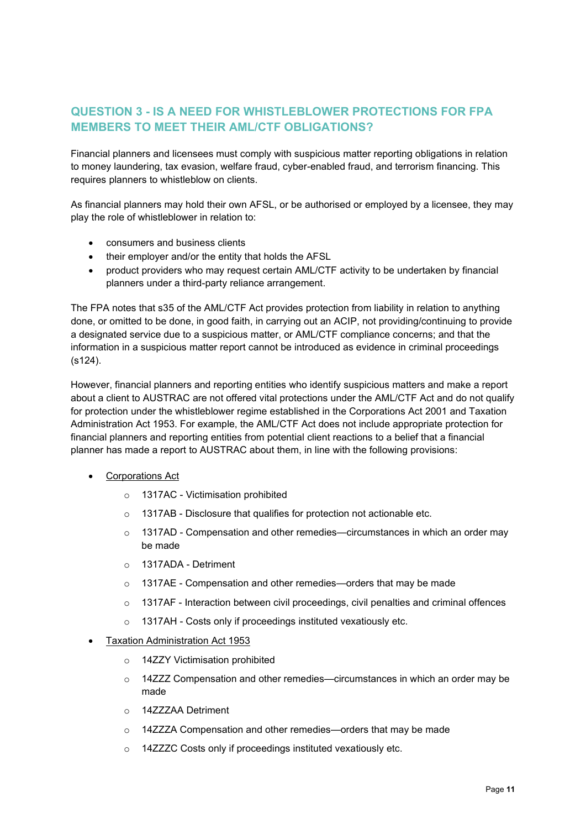#### **QUESTION 3 - IS A NEED FOR WHISTLEBLOWER PROTECTIONS FOR FPA MEMBERS TO MEET THEIR AML/CTF OBLIGATIONS?**

Financial planners and licensees must comply with suspicious matter reporting obligations in relation to money laundering, tax evasion, welfare fraud, cyber-enabled fraud, and terrorism financing. This requires planners to whistleblow on clients.

As financial planners may hold their own AFSL, or be authorised or employed by a licensee, they may play the role of whistleblower in relation to:

- consumers and business clients
- their employer and/or the entity that holds the AFSL
- product providers who may request certain AML/CTF activity to be undertaken by financial planners under a third-party reliance arrangement.

The FPA notes that s35 of the AML/CTF Act provides protection from liability in relation to anything done, or omitted to be done, in good faith, in carrying out an ACIP, not providing/continuing to provide a designated service due to a suspicious matter, or AML/CTF compliance concerns; and that the information in a suspicious matter report cannot be introduced as evidence in criminal proceedings (s124).

However, financial planners and reporting entities who identify suspicious matters and make a report about a client to AUSTRAC are not offered vital protections under the AML/CTF Act and do not qualify for protection under the whistleblower regime established in the Corporations Act 2001 and Taxation Administration Act 1953. For example, the AML/CTF Act does not include appropriate protection for financial planners and reporting entities from potential client reactions to a belief that a financial planner has made a report to AUSTRAC about them, in line with the following provisions:

- Corporations Act
	- o 1317AC Victimisation prohibited
	- o 1317AB Disclosure that qualifies for protection not actionable etc.
	- $\circ$  1317AD Compensation and other remedies—circumstances in which an order may be made
	- o 1317ADA Detriment
	- o 1317AE Compensation and other remedies—orders that may be made
	- o 1317AF Interaction between civil proceedings, civil penalties and criminal offences
	- o 1317AH Costs only if proceedings instituted vexatiously etc.
- Taxation Administration Act 1953
	- o 14ZZY Victimisation prohibited
	- o 14ZZZ Compensation and other remedies—circumstances in which an order may be made
	- o 14ZZZAA Detriment
	- o 14ZZZA Compensation and other remedies—orders that may be made
	- o 14ZZZC Costs only if proceedings instituted vexatiously etc.